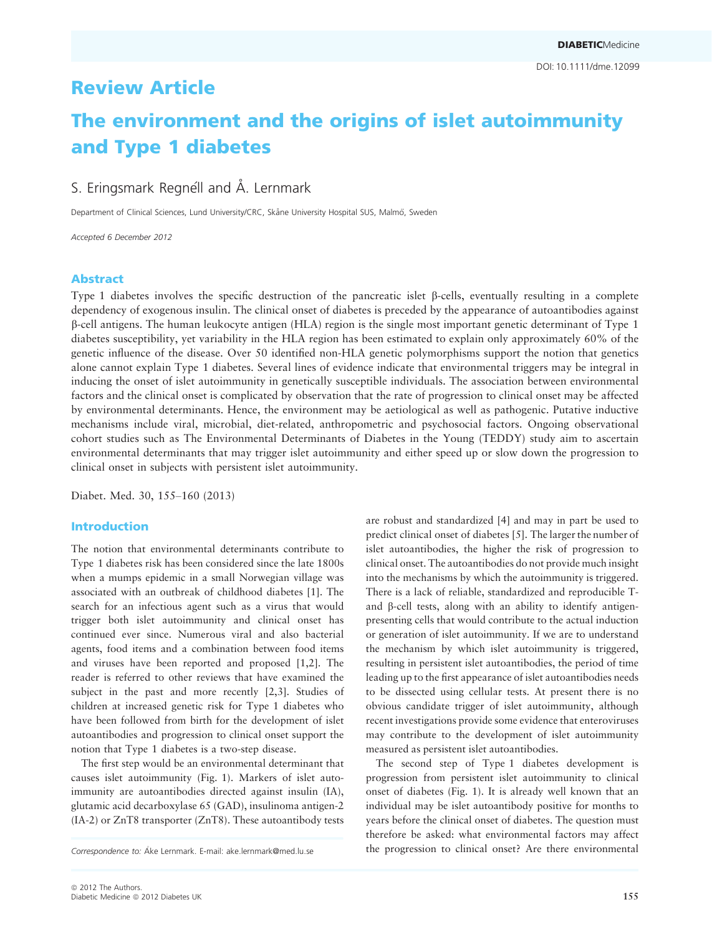## Review Article

# The environment and the origins of islet autoimmunity and Type 1 diabetes

### S. Eringsmark Regnéll and Å. Lernmark

Department of Clinical Sciences, Lund University/CRC, Skåne University Hospital SUS, Malmö, Sweden

Accepted 6 December 2012

#### Abstract

Type 1 diabetes involves the specific destruction of the pancreatic islet b-cells, eventually resulting in a complete dependency of exogenous insulin. The clinical onset of diabetes is preceded by the appearance of autoantibodies against b-cell antigens. The human leukocyte antigen (HLA) region is the single most important genetic determinant of Type 1 diabetes susceptibility, yet variability in the HLA region has been estimated to explain only approximately 60% of the genetic influence of the disease. Over 50 identified non-HLA genetic polymorphisms support the notion that genetics alone cannot explain Type 1 diabetes. Several lines of evidence indicate that environmental triggers may be integral in inducing the onset of islet autoimmunity in genetically susceptible individuals. The association between environmental factors and the clinical onset is complicated by observation that the rate of progression to clinical onset may be affected by environmental determinants. Hence, the environment may be aetiological as well as pathogenic. Putative inductive mechanisms include viral, microbial, diet-related, anthropometric and psychosocial factors. Ongoing observational cohort studies such as The Environmental Determinants of Diabetes in the Young (TEDDY) study aim to ascertain environmental determinants that may trigger islet autoimmunity and either speed up or slow down the progression to clinical onset in subjects with persistent islet autoimmunity.

Diabet. Med. 30, 155–160 (2013)

#### Introduction

The notion that environmental determinants contribute to Type 1 diabetes risk has been considered since the late 1800s when a mumps epidemic in a small Norwegian village was associated with an outbreak of childhood diabetes [1]. The search for an infectious agent such as a virus that would trigger both islet autoimmunity and clinical onset has continued ever since. Numerous viral and also bacterial agents, food items and a combination between food items and viruses have been reported and proposed [1,2]. The reader is referred to other reviews that have examined the subject in the past and more recently [2,3]. Studies of children at increased genetic risk for Type 1 diabetes who have been followed from birth for the development of islet autoantibodies and progression to clinical onset support the notion that Type 1 diabetes is a two-step disease.

The first step would be an environmental determinant that causes islet autoimmunity (Fig. 1). Markers of islet autoimmunity are autoantibodies directed against insulin (IA), glutamic acid decarboxylase 65 (GAD), insulinoma antigen-2 (IA-2) or ZnT8 transporter (ZnT8). These autoantibody tests

Correspondence to: Ake Lernmark. E-mail: ake lernmark@med.lu.se the progression to clinical onset? Are there environmental

presenting cells that would contribute to the actual induction or generation of islet autoimmunity. If we are to understand the mechanism by which islet autoimmunity is triggered, resulting in persistent islet autoantibodies, the period of time leading up to the first appearance of islet autoantibodies needs to be dissected using cellular tests. At present there is no obvious candidate trigger of islet autoimmunity, although recent investigations provide some evidence that enteroviruses may contribute to the development of islet autoimmunity measured as persistent islet autoantibodies. The second step of Type 1 diabetes development is progression from persistent islet autoimmunity to clinical onset of diabetes (Fig. 1). It is already well known that an individual may be islet autoantibody positive for months to years before the clinical onset of diabetes. The question must therefore be asked: what environmental factors may affect

are robust and standardized [4] and may in part be used to predict clinical onset of diabetes [5]. The larger the number of islet autoantibodies, the higher the risk of progression to clinical onset. The autoantibodies do not provide much insight into the mechanisms by which the autoimmunity is triggered. There is a lack of reliable, standardized and reproducible Tand  $\beta$ -cell tests, along with an ability to identify antigen-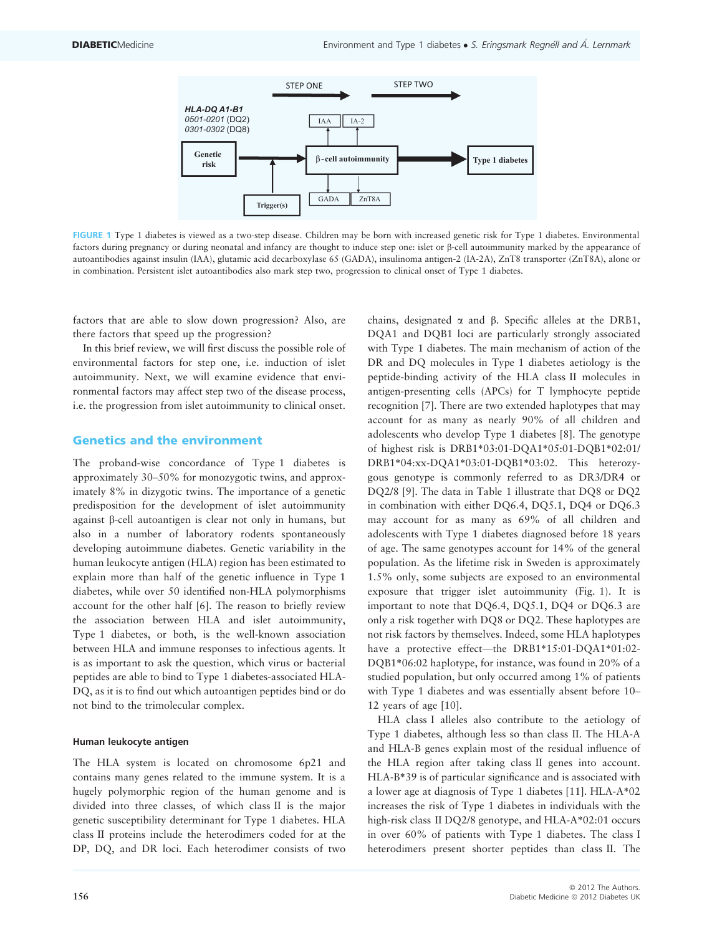

FIGURE 1 Type 1 diabetes is viewed as a two-step disease. Children may be born with increased genetic risk for Type 1 diabetes. Environmental factors during pregnancy or during neonatal and infancy are thought to induce step one: islet or b-cell autoimmunity marked by the appearance of autoantibodies against insulin (IAA), glutamic acid decarboxylase 65 (GADA), insulinoma antigen-2 (IA-2A), ZnT8 transporter (ZnT8A), alone or in combination. Persistent islet autoantibodies also mark step two, progression to clinical onset of Type 1 diabetes.

factors that are able to slow down progression? Also, are there factors that speed up the progression?

In this brief review, we will first discuss the possible role of environmental factors for step one, i.e. induction of islet autoimmunity. Next, we will examine evidence that environmental factors may affect step two of the disease process, i.e. the progression from islet autoimmunity to clinical onset.

#### Genetics and the environment

The proband-wise concordance of Type 1 diabetes is approximately 30–50% for monozygotic twins, and approximately 8% in dizygotic twins. The importance of a genetic predisposition for the development of islet autoimmunity against b-cell autoantigen is clear not only in humans, but also in a number of laboratory rodents spontaneously developing autoimmune diabetes. Genetic variability in the human leukocyte antigen (HLA) region has been estimated to explain more than half of the genetic influence in Type 1 diabetes, while over 50 identified non-HLA polymorphisms account for the other half [6]. The reason to briefly review the association between HLA and islet autoimmunity, Type 1 diabetes, or both, is the well-known association between HLA and immune responses to infectious agents. It is as important to ask the question, which virus or bacterial peptides are able to bind to Type 1 diabetes-associated HLA-DQ, as it is to find out which autoantigen peptides bind or do not bind to the trimolecular complex.

#### Human leukocyte antigen

The HLA system is located on chromosome 6p21 and contains many genes related to the immune system. It is a hugely polymorphic region of the human genome and is divided into three classes, of which class II is the major genetic susceptibility determinant for Type 1 diabetes. HLA class II proteins include the heterodimers coded for at the DP, DQ, and DR loci. Each heterodimer consists of two chains, designated  $\alpha$  and  $\beta$ . Specific alleles at the DRB1, DQA1 and DQB1 loci are particularly strongly associated with Type 1 diabetes. The main mechanism of action of the DR and DQ molecules in Type 1 diabetes aetiology is the peptide-binding activity of the HLA class II molecules in antigen-presenting cells (APCs) for T lymphocyte peptide recognition [7]. There are two extended haplotypes that may account for as many as nearly 90% of all children and adolescents who develop Type 1 diabetes [8]. The genotype of highest risk is DRB1\*03:01-DQA1\*05:01-DQB1\*02:01/ DRB1\*04:xx-DQA1\*03:01-DQB1\*03:02. This heterozygous genotype is commonly referred to as DR3/DR4 or DQ2/8 [9]. The data in Table 1 illustrate that DQ8 or DQ2 in combination with either DQ6.4, DQ5.1, DQ4 or DQ6.3 may account for as many as 69% of all children and adolescents with Type 1 diabetes diagnosed before 18 years of age. The same genotypes account for 14% of the general population. As the lifetime risk in Sweden is approximately 1.5% only, some subjects are exposed to an environmental exposure that trigger islet autoimmunity (Fig. 1). It is important to note that DQ6.4, DQ5.1, DQ4 or DQ6.3 are only a risk together with DQ8 or DQ2. These haplotypes are not risk factors by themselves. Indeed, some HLA haplotypes have a protective effect—the DRB1\*15:01-DQA1\*01:02-DQB1\*06:02 haplotype, for instance, was found in 20% of a studied population, but only occurred among 1% of patients with Type 1 diabetes and was essentially absent before 10– 12 years of age [10].

HLA class I alleles also contribute to the aetiology of Type 1 diabetes, although less so than class II. The HLA-A and HLA-B genes explain most of the residual influence of the HLA region after taking class II genes into account. HLA-B\*39 is of particular significance and is associated with a lower age at diagnosis of Type 1 diabetes [11]. HLA-A\*02 increases the risk of Type 1 diabetes in individuals with the high-risk class II DQ2/8 genotype, and HLA-A\*02:01 occurs in over 60% of patients with Type 1 diabetes. The class I heterodimers present shorter peptides than class II. The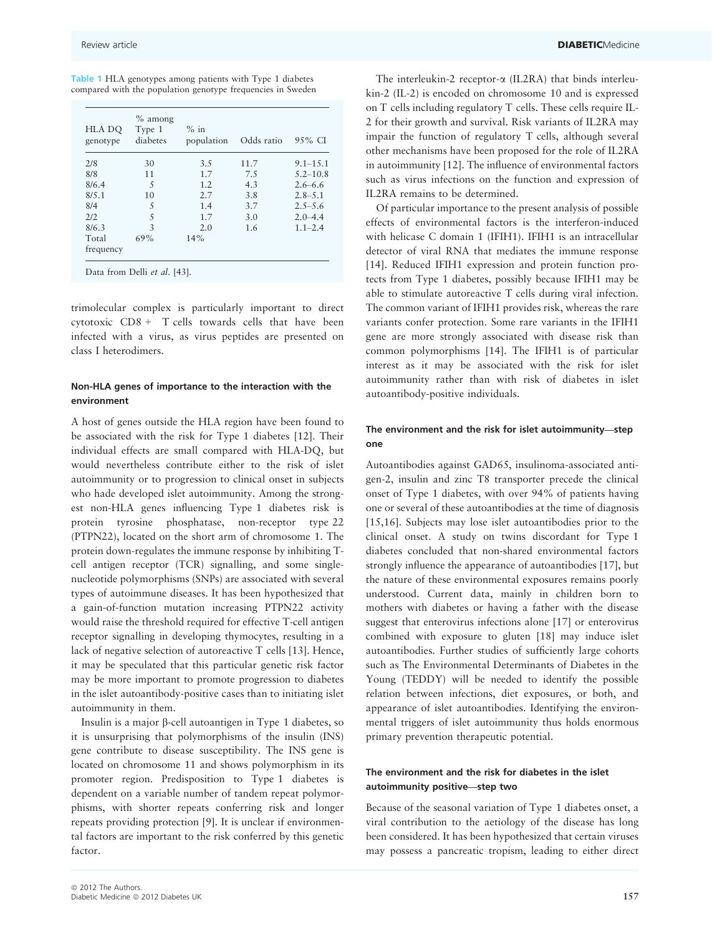| <b>Table 1 HLA</b> genotypes among patients with Type 1 diabetes |  |  |  |
|------------------------------------------------------------------|--|--|--|
| compared with the population genotype frequencies in Sweden      |  |  |  |

| HLA DO<br>genotype | $%$ among<br>Type 1<br>diabetes | $%$ in<br>population | Odds ratio | 9.5% CI      |
|--------------------|---------------------------------|----------------------|------------|--------------|
| 2/8                | 30                              | 3.5                  | 11.7       | $9.1 - 15.1$ |
| 8/8                | 11                              | 1.7                  | 7.5        | $5.2 - 10.8$ |
| 8/6.4              | $\overline{\mathcal{L}}$        | 1.2                  | 4.3        | $2.6 - 6.6$  |
| 8/5.1              | 10                              | 2.7                  | 3.8        | $2.8 - 5.1$  |
| 8/4                | 5                               | 1.4                  | 3.7        | $2.5 - 5.6$  |
| 2/2                | 5                               | 1.7                  | 3.0        | $2.0 - 4.4$  |
| 8/6.3              | $\mathcal{E}$                   | 2.0                  | 1.6        | $1.1 - 2.4$  |
| Total<br>frequency | 69%                             | 14%                  |            |              |

Data from Delli et al. [43].

trimolecular complex is particularly important to direct cytotoxic CD8 + T cells towards cells that have been infected with a virus, as virus peptides are presented on class I heterodimers.

#### Non-HLA genes of importance to the interaction with the environment

A host of genes outside the HLA region have been found to be associated with the risk for Type 1 diabetes [12]. Their individual effects are small compared with HLA-DQ, but would nevertheless contribute either to the risk of islet autoimmunity or to progression to clinical onset in subjects who hade developed islet autoimmunity. Among the strongest non-HLA genes influencing Type 1 diabetes risk is protein tyrosine phosphatase, non-receptor type 22 (PTPN22), located on the short arm of chromosome 1. The protein down-regulates the immune response by inhibiting Tcell antigen receptor (TCR) signalling, and some singlenucleotide polymorphisms (SNPs) are associated with several types of autoimmune diseases. It has been hypothesized that a gain-of-function mutation increasing PTPN22 activity would raise the threshold required for effective T-cell antigen receptor signalling in developing thymocytes, resulting in a lack of negative selection of autoreactive T cells [13]. Hence, it may be speculated that this particular genetic risk factor may be more important to promote progression to diabetes in the islet autoantibody-positive cases than to initiating islet autoimmunity in them.

Insulin is a major  $\beta$ -cell autoantigen in Type 1 diabetes, so it is unsurprising that polymorphisms of the insulin (INS) gene contribute to disease susceptibility. The INS gene is located on chromosome 11 and shows polymorphism in its promoter region. Predisposition to Type 1 diabetes is dependent on a variable number of tandem repeat polymorphisms, with shorter repeats conferring risk and longer repeats providing protection [9]. It is unclear if environmental factors are important to the risk conferred by this genetic factor.

The interleukin-2 receptor- $\alpha$  (IL2RA) that binds interleukin-2 (IL-2) is encoded on chromosome 10 and is expressed on T cells including regulatory T cells. These cells require IL-2 for their growth and survival. Risk variants of IL2RA may impair the function of regulatory T cells, although several other mechanisms have been proposed for the role of IL2RA in autoimmunity [12]. The influence of environmental factors such as virus infections on the function and expression of IL2RA remains to be determined.

Of particular importance to the present analysis of possible effects of environmental factors is the interferon-induced with helicase C domain 1 (IFIH1). IFIH1 is an intracellular detector of viral RNA that mediates the immune response [14]. Reduced IFIH1 expression and protein function protects from Type 1 diabetes, possibly because IFIH1 may be able to stimulate autoreactive T cells during viral infection. The common variant of IFIH1 provides risk, whereas the rare variants confer protection. Some rare variants in the IFIH1 gene are more strongly associated with disease risk than common polymorphisms [14]. The IFIH1 is of particular interest as it may be associated with the risk for islet autoimmunity rather than with risk of diabetes in islet autoantibody-positive individuals.

#### The environment and the risk for islet autoimmunity—step one

Autoantibodies against GAD65, insulinoma-associated antigen-2, insulin and zinc T8 transporter precede the clinical onset of Type 1 diabetes, with over 94% of patients having one or several of these autoantibodies at the time of diagnosis [15,16]. Subjects may lose islet autoantibodies prior to the clinical onset. A study on twins discordant for Type 1 diabetes concluded that non-shared environmental factors strongly influence the appearance of autoantibodies [17], but the nature of these environmental exposures remains poorly understood. Current data, mainly in children born to mothers with diabetes or having a father with the disease suggest that enterovirus infections alone [17] or enterovirus combined with exposure to gluten [18] may induce islet autoantibodies. Further studies of sufficiently large cohorts such as The Environmental Determinants of Diabetes in the Young (TEDDY) will be needed to identify the possible relation between infections, diet exposures, or both, and appearance of islet autoantibodies. Identifying the environmental triggers of islet autoimmunity thus holds enormous primary prevention therapeutic potential.

#### The environment and the risk for diabetes in the islet autoimmunity positive—step two

Because of the seasonal variation of Type 1 diabetes onset, a viral contribution to the aetiology of the disease has long been considered. It has been hypothesized that certain viruses may possess a pancreatic tropism, leading to either direct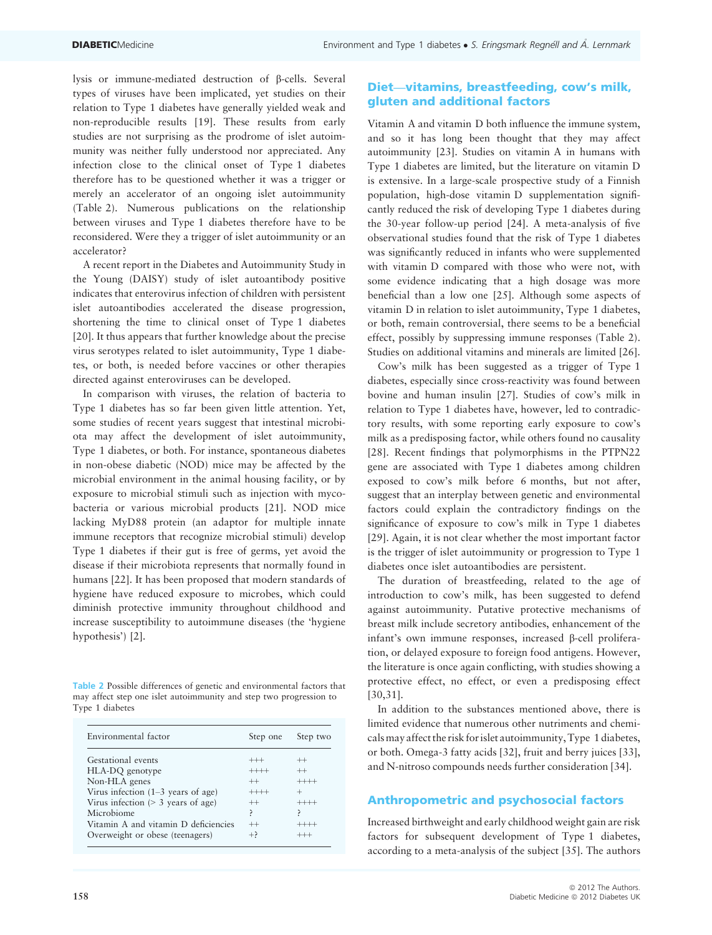lysis or immune-mediated destruction of b-cells. Several types of viruses have been implicated, yet studies on their relation to Type 1 diabetes have generally yielded weak and non-reproducible results [19]. These results from early studies are not surprising as the prodrome of islet autoimmunity was neither fully understood nor appreciated. Any infection close to the clinical onset of Type 1 diabetes therefore has to be questioned whether it was a trigger or merely an accelerator of an ongoing islet autoimmunity (Table 2). Numerous publications on the relationship between viruses and Type 1 diabetes therefore have to be reconsidered. Were they a trigger of islet autoimmunity or an accelerator?

A recent report in the Diabetes and Autoimmunity Study in the Young (DAISY) study of islet autoantibody positive indicates that enterovirus infection of children with persistent islet autoantibodies accelerated the disease progression, shortening the time to clinical onset of Type 1 diabetes [20]. It thus appears that further knowledge about the precise virus serotypes related to islet autoimmunity, Type 1 diabetes, or both, is needed before vaccines or other therapies directed against enteroviruses can be developed.

In comparison with viruses, the relation of bacteria to Type 1 diabetes has so far been given little attention. Yet, some studies of recent years suggest that intestinal microbiota may affect the development of islet autoimmunity, Type 1 diabetes, or both. For instance, spontaneous diabetes in non-obese diabetic (NOD) mice may be affected by the microbial environment in the animal housing facility, or by exposure to microbial stimuli such as injection with mycobacteria or various microbial products [21]. NOD mice lacking MyD88 protein (an adaptor for multiple innate immune receptors that recognize microbial stimuli) develop Type 1 diabetes if their gut is free of germs, yet avoid the disease if their microbiota represents that normally found in humans [22]. It has been proposed that modern standards of hygiene have reduced exposure to microbes, which could diminish protective immunity throughout childhood and increase susceptibility to autoimmune diseases (the 'hygiene hypothesis') [2].

Table 2 Possible differences of genetic and environmental factors that may affect step one islet autoimmunity and step two progression to Type 1 diabetes

| Environmental factor                 | Step one | Step two |  |
|--------------------------------------|----------|----------|--|
| Gestational events                   | $^{+++}$ | $^{++}$  |  |
| HLA-DQ genotype                      | $+++++$  | $++$     |  |
| Non-HLA genes                        | $^{++}$  | $+++++$  |  |
| Virus infection $(1-3$ years of age) | $+++++$  | $^+$     |  |
| Virus infection $(> 3$ years of age) | $^{++}$  | $++++-$  |  |
| Microbiome                           | ∍        |          |  |
| Vitamin A and vitamin D deficiencies | $^{++}$  |          |  |
| Overweight or obese (teenagers)      | $^{+}$   |          |  |

#### Diet—vitamins, breastfeeding, cow's milk, gluten and additional factors

Vitamin A and vitamin D both influence the immune system, and so it has long been thought that they may affect autoimmunity [23]. Studies on vitamin A in humans with Type 1 diabetes are limited, but the literature on vitamin D is extensive. In a large-scale prospective study of a Finnish population, high-dose vitamin D supplementation significantly reduced the risk of developing Type 1 diabetes during the 30-year follow-up period [24]. A meta-analysis of five observational studies found that the risk of Type 1 diabetes was significantly reduced in infants who were supplemented with vitamin D compared with those who were not, with some evidence indicating that a high dosage was more beneficial than a low one [25]. Although some aspects of vitamin D in relation to islet autoimmunity, Type 1 diabetes, or both, remain controversial, there seems to be a beneficial effect, possibly by suppressing immune responses (Table 2). Studies on additional vitamins and minerals are limited [26].

Cow's milk has been suggested as a trigger of Type 1 diabetes, especially since cross-reactivity was found between bovine and human insulin [27]. Studies of cow's milk in relation to Type 1 diabetes have, however, led to contradictory results, with some reporting early exposure to cow's milk as a predisposing factor, while others found no causality [28]. Recent findings that polymorphisms in the PTPN22 gene are associated with Type 1 diabetes among children exposed to cow's milk before 6 months, but not after, suggest that an interplay between genetic and environmental factors could explain the contradictory findings on the significance of exposure to cow's milk in Type 1 diabetes [29]. Again, it is not clear whether the most important factor is the trigger of islet autoimmunity or progression to Type 1 diabetes once islet autoantibodies are persistent.

The duration of breastfeeding, related to the age of introduction to cow's milk, has been suggested to defend against autoimmunity. Putative protective mechanisms of breast milk include secretory antibodies, enhancement of the infant's own immune responses, increased  $\beta$ -cell proliferation, or delayed exposure to foreign food antigens. However, the literature is once again conflicting, with studies showing a protective effect, no effect, or even a predisposing effect [30,31].

In addition to the substances mentioned above, there is limited evidence that numerous other nutriments and chemicalsmay affect the risk forislet autoimmunity, Type 1 diabetes, or both. Omega-3 fatty acids [32], fruit and berry juices [33], and N-nitroso compounds needs further consideration [34].

#### Anthropometric and psychosocial factors

Increased birthweight and early childhood weight gain are risk factors for subsequent development of Type 1 diabetes, according to a meta-analysis of the subject [35]. The authors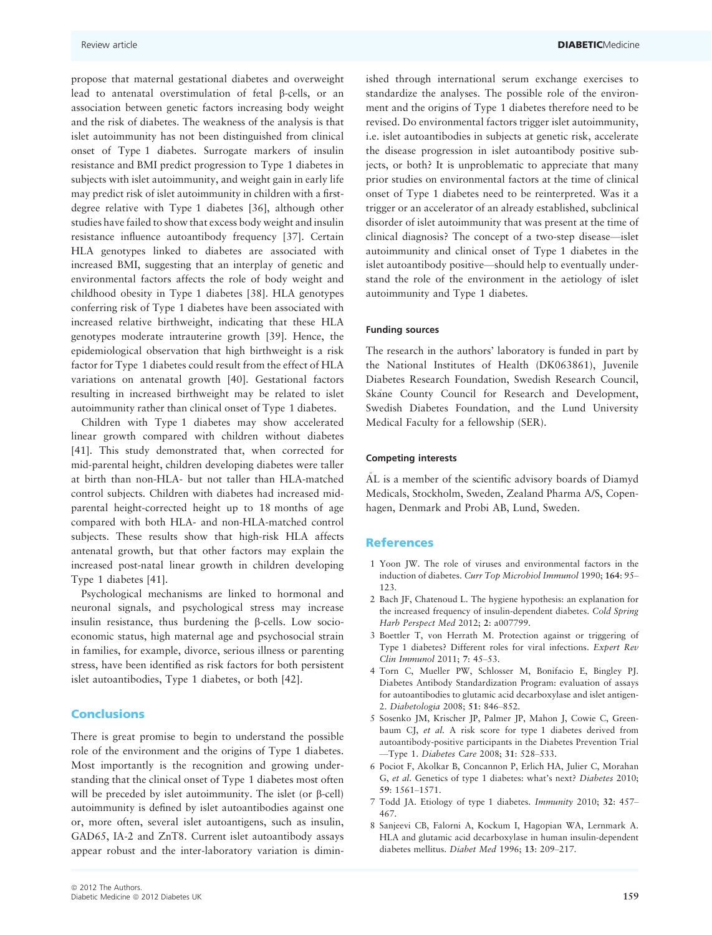propose that maternal gestational diabetes and overweight lead to antenatal overstimulation of fetal b-cells, or an association between genetic factors increasing body weight and the risk of diabetes. The weakness of the analysis is that islet autoimmunity has not been distinguished from clinical onset of Type 1 diabetes. Surrogate markers of insulin resistance and BMI predict progression to Type 1 diabetes in subjects with islet autoimmunity, and weight gain in early life may predict risk of islet autoimmunity in children with a firstdegree relative with Type 1 diabetes [36], although other studies have failed to show that excess body weight and insulin resistance influence autoantibody frequency [37]. Certain HLA genotypes linked to diabetes are associated with increased BMI, suggesting that an interplay of genetic and environmental factors affects the role of body weight and childhood obesity in Type 1 diabetes [38]. HLA genotypes conferring risk of Type 1 diabetes have been associated with increased relative birthweight, indicating that these HLA genotypes moderate intrauterine growth [39]. Hence, the epidemiological observation that high birthweight is a risk factor for Type 1 diabetes could result from the effect of HLA variations on antenatal growth [40]. Gestational factors resulting in increased birthweight may be related to islet autoimmunity rather than clinical onset of Type 1 diabetes.

Children with Type 1 diabetes may show accelerated linear growth compared with children without diabetes [41]. This study demonstrated that, when corrected for mid-parental height, children developing diabetes were taller at birth than non-HLA- but not taller than HLA-matched control subjects. Children with diabetes had increased midparental height-corrected height up to 18 months of age compared with both HLA- and non-HLA-matched control subjects. These results show that high-risk HLA affects antenatal growth, but that other factors may explain the increased post-natal linear growth in children developing Type 1 diabetes [41].

Psychological mechanisms are linked to hormonal and neuronal signals, and psychological stress may increase insulin resistance, thus burdening the  $\beta$ -cells. Low socioeconomic status, high maternal age and psychosocial strain in families, for example, divorce, serious illness or parenting stress, have been identified as risk factors for both persistent islet autoantibodies, Type 1 diabetes, or both [42].

#### **Conclusions**

There is great promise to begin to understand the possible role of the environment and the origins of Type 1 diabetes. Most importantly is the recognition and growing understanding that the clinical onset of Type 1 diabetes most often will be preceded by islet autoimmunity. The islet (or  $\beta$ -cell) autoimmunity is defined by islet autoantibodies against one or, more often, several islet autoantigens, such as insulin, GAD65, IA-2 and ZnT8. Current islet autoantibody assays appear robust and the inter-laboratory variation is diminished through international serum exchange exercises to standardize the analyses. The possible role of the environment and the origins of Type 1 diabetes therefore need to be revised. Do environmental factors trigger islet autoimmunity, i.e. islet autoantibodies in subjects at genetic risk, accelerate the disease progression in islet autoantibody positive subjects, or both? It is unproblematic to appreciate that many prior studies on environmental factors at the time of clinical onset of Type 1 diabetes need to be reinterpreted. Was it a trigger or an accelerator of an already established, subclinical disorder of islet autoimmunity that was present at the time of clinical diagnosis? The concept of a two-step disease—islet autoimmunity and clinical onset of Type 1 diabetes in the islet autoantibody positive—should help to eventually understand the role of the environment in the aetiology of islet autoimmunity and Type 1 diabetes.

#### Funding sources

The research in the authors' laboratory is funded in part by the National Institutes of Health (DK063861), Juvenile Diabetes Research Foundation, Swedish Research Council, Skåne County Council for Research and Development, Swedish Diabetes Foundation, and the Lund University Medical Faculty for a fellowship (SER).

#### Competing interests

AL is a member of the scientific advisory boards of Diamyd Medicals, Stockholm, Sweden, Zealand Pharma A/S, Copenhagen, Denmark and Probi AB, Lund, Sweden.

#### References

- 1 Yoon JW. The role of viruses and environmental factors in the induction of diabetes. Curr Top Microbiol Immunol 1990; 164: 95– 123.
- 2 Bach JF, Chatenoud L. The hygiene hypothesis: an explanation for the increased frequency of insulin-dependent diabetes. Cold Spring Harb Perspect Med 2012; 2: a007799.
- 3 Boettler T, von Herrath M. Protection against or triggering of Type 1 diabetes? Different roles for viral infections. Expert Rev Clin Immunol 2011; 7: 45–53.
- 4 Torn C, Mueller PW, Schlosser M, Bonifacio E, Bingley PJ. Diabetes Antibody Standardization Program: evaluation of assays for autoantibodies to glutamic acid decarboxylase and islet antigen-2. Diabetologia 2008; 51: 846–852.
- 5 Sosenko JM, Krischer JP, Palmer JP, Mahon J, Cowie C, Greenbaum CJ, et al. A risk score for type 1 diabetes derived from autoantibody-positive participants in the Diabetes Prevention Trial —Type 1. Diabetes Care 2008; 31: 528–533.
- 6 Pociot F, Akolkar B, Concannon P, Erlich HA, Julier C, Morahan G, et al. Genetics of type 1 diabetes: what's next? Diabetes 2010; 59: 1561–1571.
- 7 Todd JA. Etiology of type 1 diabetes. Immunity 2010; 32: 457– 467.
- 8 Sanjeevi CB, Falorni A, Kockum I, Hagopian WA, Lernmark A. HLA and glutamic acid decarboxylase in human insulin-dependent diabetes mellitus. Diabet Med 1996; 13: 209–217.